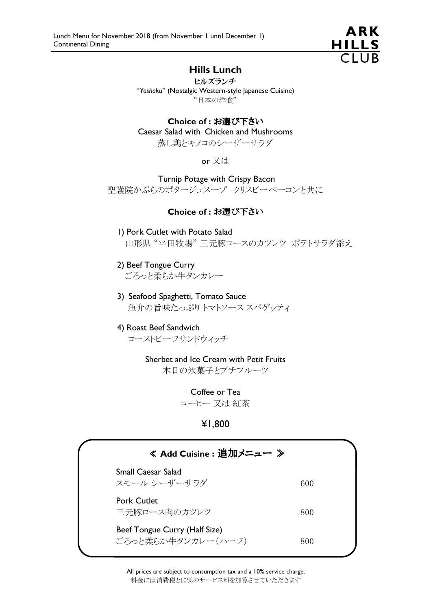

# Hills Lunch

ヒルズランチ "Yoshoku" (Nostalgic Western-style Japanese Cuisine) "日本の洋食"

#### Choice of : お選び下さい

Caesar Salad with Chicken and Mushrooms

蒸し鶏とキノコのシーザーサラダ

or 又は

Turnip Potage with Crispy Bacon

聖護院かぶらのポタージュスープ クリスピーベーコンと共に

#### Choice of : お選び下さい

- 1) Pork Cutlet with Potato Salad 山形県 "平田牧場" 三元豚ロースのカツレツ ポテトサラダ添え
- 2) Beef Tongue Curry ごろっと柔らか牛タンカレー
- 3) Seafood Spaghetti, Tomato Sauce 魚介の旨味たっぷり トマトソース スパゲッティ
- 4) Roast Beef Sandwich ローストビーフサンドウィッチ

Sherbet and Ice Cream with Petit Fruits 本日の氷菓子とプチフルーツ

> Coffee or Tea コーヒー 又は 紅茶

# ¥1,800

| ≪ Add Cuisine : 追加メニュー ≫                            |     |
|-----------------------------------------------------|-----|
| <b>Small Caesar Salad</b><br>スモール シーザーサラダ           | 600 |
| <b>Pork Cutlet</b><br>三元豚ロース肉のカツレツ                  | 800 |
| Beef Tongue Curry (Half Size)<br>ごろっと柔らか牛タンカレー(ハーフ) | 800 |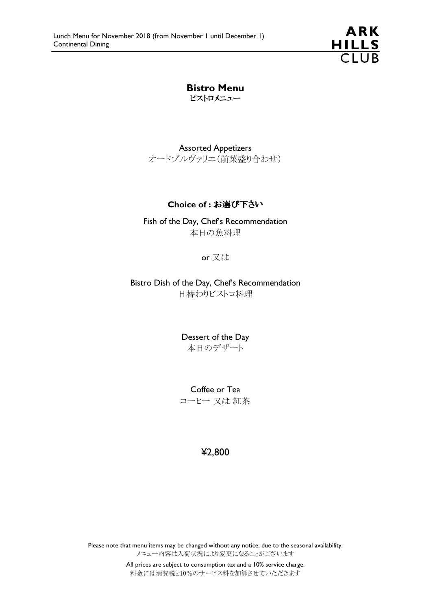**ARK** HILLS<br>CLUB

Bistro Menu ビストロメニュー

Assorted Appetizers オードブルヴァリエ(前菜盛り合わせ)

#### Choice of : お選び下さい

Fish of the Day, Chef's Recommendation 本日の魚料理

or 又は

Bistro Dish of the Day, Chef's Recommendation 日替わりビストロ料理

> Dessert of the Day 本日のデザート

> Coffee or Tea コーヒー 又は 紅茶

> > ¥2,800

Please note that menu items may be changed without any notice, due to the seasonal availability. メニュー内容は入荷状況により変更になることがございます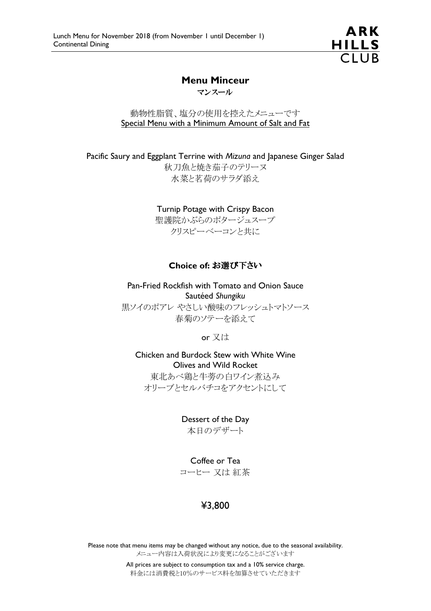

## Menu Minceur

マンスール

動物性脂質、塩分の使用を控えたメニューです Special Menu with a Minimum Amount of Salt and Fat

Pacific Saury and Eggplant Terrine with Mizuna and Japanese Ginger Salad

秋刀魚と焼き茄子のテリーヌ 水菜と茗荷のサラダ添え

Turnip Potage with Crispy Bacon

聖護院かぶらのポタージュスープ クリスピーベーコンと共に

## Choice of: お選び下さい

Pan-Fried Rockfish with Tomato and Onion Sauce Sautéed Shungiku 黒ソイのポアレ やさしい酸味のフレッシュトマトソース 春菊のソテーを添えて

or 又は

Chicken and Burdock Stew with White Wine Olives and Wild Rocket 東北あべ鶏と牛蒡の白ワイン煮込み オリーブとセルバチコをアクセントにして

### Dessert of the Day

本日のデザート

#### Coffee or Tea

コーヒー 又は 紅茶

# ¥3,800

Please note that menu items may be changed without any notice, due to the seasonal availability. メニュー内容は入荷状況により変更になることがございます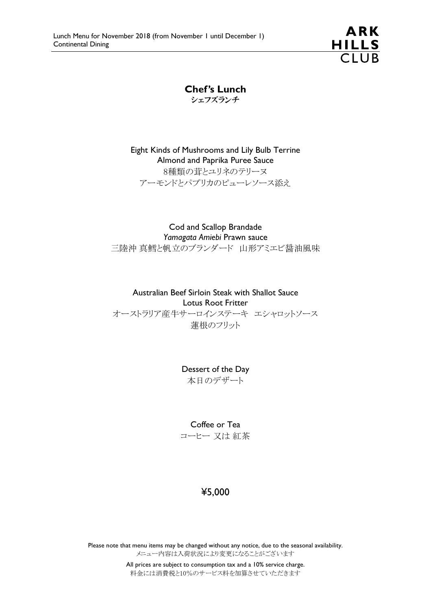

#### Chef's Lunch シェフズランチ

Eight Kinds of Mushrooms and Lily Bulb Terrine Almond and Paprika Puree Sauce 8種類の茸とユリネのテリーヌ アーモンドとパプリカのピューレソース添え

Cod and Scallop Brandade Yamagata Amiebi Prawn sauce 三陸沖 真鱈と帆立のブランダード 山形アミエビ醤油風味

Australian Beef Sirloin Steak with Shallot Sauce Lotus Root Fritter オーストラリア産牛サーロインステーキ エシャロットソース 蓮根のフリット

> Dessert of the Day 本日のデザート

> > Coffee or Tea

コーヒー 又は 紅茶

# ¥5,000

Please note that menu items may be changed without any notice, due to the seasonal availability. メニュー内容は入荷状況により変更になることがございます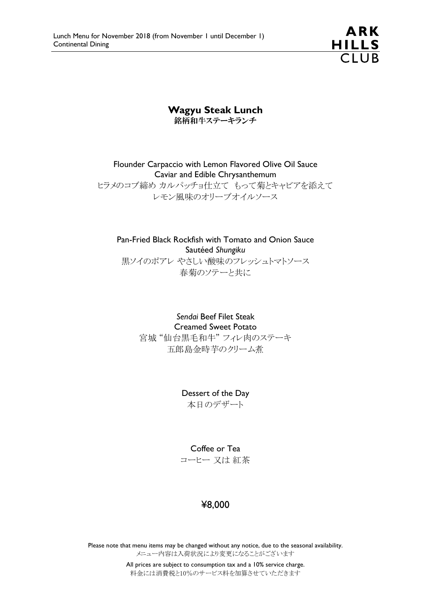

# Wagyu Steak Lunch

銘柄和牛ステーキランチ

Flounder Carpaccio with Lemon Flavored Olive Oil Sauce Caviar and Edible Chrysanthemum ヒラメのコブ締め カルパッチョ仕立て もって菊とキャビアを添えて レモン風味のオリーブオイルソース

Pan-Fried Black Rockfish with Tomato and Onion Sauce Sautéed Shungiku 黒ソイのポアレ やさしい酸味のフレッシュトマトソース 春菊のソテーと共に

> Sendai Beef Filet Steak Creamed Sweet Potato 宮城 "仙台黒毛和牛" フィレ肉のステーキ 五郎島金時芋のクリーム煮

> > Dessert of the Day 本日のデザート

#### Coffee or Tea

コーヒー 又は 紅茶

# ¥8,000

Please note that menu items may be changed without any notice, due to the seasonal availability. メニュー内容は入荷状況により変更になることがございます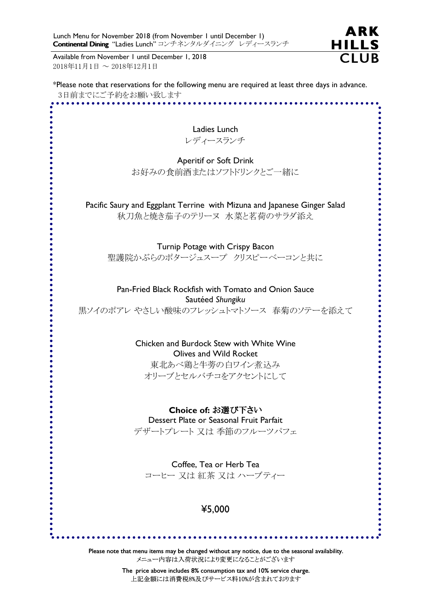Lunch Menu for November 2018 (from November 1 until December 1) Continental Dining Continental Dining "Ladies Lunch" コンチネンタルダイニング レディースランチ

Available from November 1 until December 1, 2018 2018年11月1日 ~ 2018年12月1日

\*Please note that reservations for the following menu are required at least three days in advance. 3日前までにご予約をお願い致します

ARK

**HILLS**  $\overline{C}$ lub

Ladies Lunch レディースランチ

Aperitif or Soft Drink お好みの食前酒またはソフトドリンクとご一緒に

Pacific Saury and Eggplant Terrine with Mizuna and Japanese Ginger Salad 秋刀魚と焼き茄子のテリーヌ 水菜と茗荷のサラダ添え

Turnip Potage with Crispy Bacon

聖護院かぶらのポタージュスープ クリスピーベーコンと共に

Pan-Fried Black Rockfish with Tomato and Onion Sauce Sautéed Shungiku 黒ソイのポアレ やさしい酸味のフレッシュトマトソース 春菊のソテーを添えて

> Chicken and Burdock Stew with White Wine Olives and Wild Rocket

東北あべ鶏と牛蒡の白ワイン煮込み オリーブとセルバチコをアクセントにして

Choice of: お選び下さい

Dessert Plate or Seasonal Fruit Parfait

デザートプレート 又は 季節のフルーツパフェ

Coffee, Tea or Herb Tea コーヒー 又は 紅茶 又は ハーブティー

¥5,000

Please note that menu items may be changed without any notice, due to the seasonal availability. メニュー内容は入荷状況により変更になることがございます

> The price above includes 8% consumption tax and 10% service charge. 上記金額には消費税8%及びサービス料10%が含まれております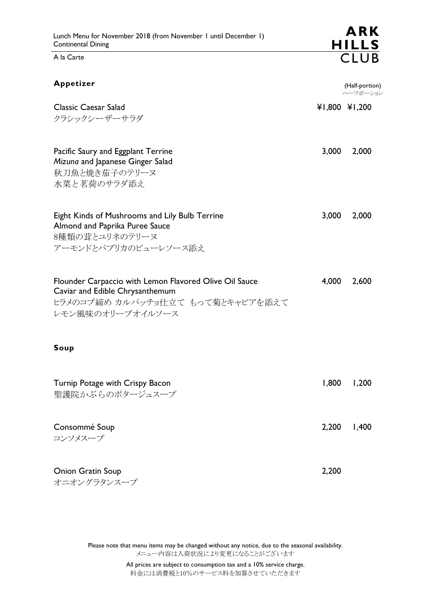A la Carte

| Appetizer                                                                                                                                         |       | (Half-portion)<br>ハーフポーション |
|---------------------------------------------------------------------------------------------------------------------------------------------------|-------|----------------------------|
| <b>Classic Caesar Salad</b><br>クラシックシーザーサラダ                                                                                                       |       | ¥1,800 ¥1,200              |
| Pacific Saury and Eggplant Terrine<br>Mizuna and Japanese Ginger Salad<br>秋刀魚と焼き茄子のテリーヌ<br>水菜と茗荷のサラダ添え                                            | 3,000 | 2,000                      |
| Eight Kinds of Mushrooms and Lily Bulb Terrine<br>Almond and Paprika Puree Sauce<br>8種類の茸とユリネのテリーヌ<br>アーモンドとパプリカのピューレソース添え                        | 3,000 | 2,000                      |
| Flounder Carpaccio with Lemon Flavored Olive Oil Sauce<br>Caviar and Edible Chrysanthemum<br>ヒラメのコブ締め カルパッチョ仕立て もって菊とキャビアを添えて<br>レモン風味のオリーブオイルソース | 4,000 | 2,600                      |
| Soup                                                                                                                                              |       |                            |
| Turnip Potage with Crispy Bacon<br>聖護院かぶらのポタージュスープ                                                                                                | 1,800 | 1,200                      |
| Consommé Soup<br>コンソメスープ                                                                                                                          | 2,200 | 1,400                      |
| <b>Onion Gratin Soup</b><br>オニオングラタンスープ                                                                                                           | 2,200 |                            |

Please note that menu items may be changed without any notice, due to the seasonal availability. メニュー内容は入荷状況により変更になることがございます